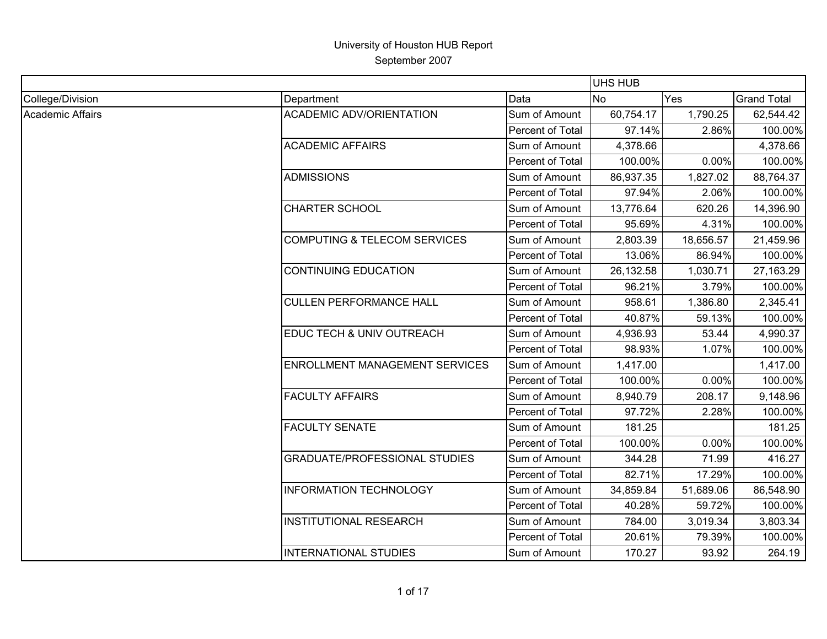|                  |                                         |                  | <b>UHS HUB</b> |           |                    |
|------------------|-----------------------------------------|------------------|----------------|-----------|--------------------|
| College/Division | Department                              | Data             | <b>No</b>      | Yes       | <b>Grand Total</b> |
| Academic Affairs | <b>ACADEMIC ADV/ORIENTATION</b>         | Sum of Amount    | 60,754.17      | 1,790.25  | 62,544.42          |
|                  |                                         | Percent of Total | 97.14%         | 2.86%     | 100.00%            |
|                  | <b>ACADEMIC AFFAIRS</b>                 | Sum of Amount    | 4,378.66       |           | 4,378.66           |
|                  |                                         | Percent of Total | 100.00%        | 0.00%     | 100.00%            |
|                  | <b>ADMISSIONS</b>                       | Sum of Amount    | 86,937.35      | 1,827.02  | 88,764.37          |
|                  |                                         | Percent of Total | 97.94%         | 2.06%     | 100.00%            |
|                  | <b>CHARTER SCHOOL</b>                   | Sum of Amount    | 13,776.64      | 620.26    | 14,396.90          |
|                  |                                         | Percent of Total | 95.69%         | 4.31%     | 100.00%            |
|                  | <b>COMPUTING &amp; TELECOM SERVICES</b> | Sum of Amount    | 2,803.39       | 18,656.57 | 21,459.96          |
|                  |                                         | Percent of Total | 13.06%         | 86.94%    | 100.00%            |
|                  | <b>CONTINUING EDUCATION</b>             | Sum of Amount    | 26,132.58      | 1,030.71  | 27,163.29          |
|                  |                                         | Percent of Total | 96.21%         | 3.79%     | 100.00%            |
|                  | <b>CULLEN PERFORMANCE HALL</b>          | Sum of Amount    | 958.61         | 1,386.80  | 2,345.41           |
|                  |                                         | Percent of Total | 40.87%         | 59.13%    | 100.00%            |
|                  | EDUC TECH & UNIV OUTREACH               | Sum of Amount    | 4,936.93       | 53.44     | 4,990.37           |
|                  |                                         | Percent of Total | 98.93%         | 1.07%     | 100.00%            |
|                  | <b>ENROLLMENT MANAGEMENT SERVICES</b>   | Sum of Amount    | 1,417.00       |           | 1,417.00           |
|                  |                                         | Percent of Total | 100.00%        | 0.00%     | 100.00%            |
|                  | <b>FACULTY AFFAIRS</b>                  | Sum of Amount    | 8,940.79       | 208.17    | 9,148.96           |
|                  |                                         | Percent of Total | 97.72%         | 2.28%     | 100.00%            |
|                  | <b>FACULTY SENATE</b>                   | Sum of Amount    | 181.25         |           | 181.25             |
|                  |                                         | Percent of Total | 100.00%        | 0.00%     | 100.00%            |
|                  | <b>GRADUATE/PROFESSIONAL STUDIES</b>    | Sum of Amount    | 344.28         | 71.99     | 416.27             |
|                  |                                         | Percent of Total | 82.71%         | 17.29%    | 100.00%            |
|                  | <b>INFORMATION TECHNOLOGY</b>           | Sum of Amount    | 34,859.84      | 51,689.06 | 86,548.90          |
|                  |                                         | Percent of Total | 40.28%         | 59.72%    | 100.00%            |
|                  | <b>INSTITUTIONAL RESEARCH</b>           | Sum of Amount    | 784.00         | 3,019.34  | 3,803.34           |
|                  |                                         | Percent of Total | 20.61%         | 79.39%    | 100.00%            |
|                  | <b>INTERNATIONAL STUDIES</b>            | Sum of Amount    | 170.27         | 93.92     | 264.19             |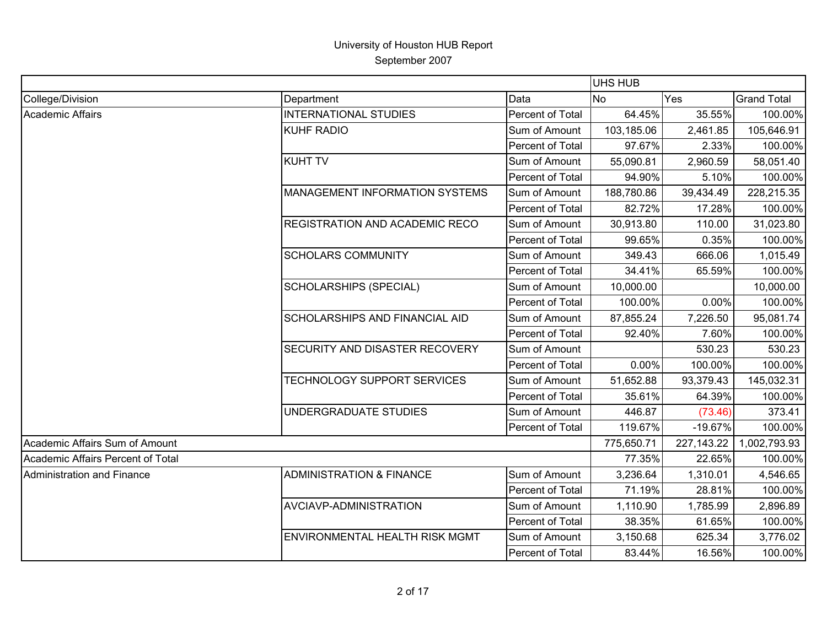|                                   |                                       |                  | <b>UHS HUB</b> |              |                    |
|-----------------------------------|---------------------------------------|------------------|----------------|--------------|--------------------|
| College/Division                  | Department                            | Data             | N <sub>o</sub> | Yes          | <b>Grand Total</b> |
| Academic Affairs                  | <b>INTERNATIONAL STUDIES</b>          | Percent of Total | 64.45%         | 35.55%       | 100.00%            |
|                                   | <b>KUHF RADIO</b>                     | Sum of Amount    | 103,185.06     | 2,461.85     | 105,646.91         |
|                                   |                                       | Percent of Total | 97.67%         | 2.33%        | 100.00%            |
|                                   | <b>KUHT TV</b>                        | Sum of Amount    | 55,090.81      | 2,960.59     | 58,051.40          |
|                                   |                                       | Percent of Total | 94.90%         | 5.10%        | 100.00%            |
|                                   | <b>MANAGEMENT INFORMATION SYSTEMS</b> | Sum of Amount    | 188,780.86     | 39,434.49    | 228,215.35         |
|                                   |                                       | Percent of Total | 82.72%         | 17.28%       | 100.00%            |
|                                   | <b>REGISTRATION AND ACADEMIC RECO</b> | Sum of Amount    | 30,913.80      | 110.00       | 31,023.80          |
|                                   |                                       | Percent of Total | 99.65%         | 0.35%        | 100.00%            |
|                                   | <b>SCHOLARS COMMUNITY</b>             | Sum of Amount    | 349.43         | 666.06       | 1,015.49           |
|                                   |                                       | Percent of Total | 34.41%         | 65.59%       | 100.00%            |
|                                   | <b>SCHOLARSHIPS (SPECIAL)</b>         | Sum of Amount    | 10,000.00      |              | 10,000.00          |
|                                   |                                       | Percent of Total | 100.00%        | 0.00%        | 100.00%            |
|                                   | SCHOLARSHIPS AND FINANCIAL AID        | Sum of Amount    | 87,855.24      | 7,226.50     | 95,081.74          |
|                                   |                                       | Percent of Total | 92.40%         | 7.60%        | 100.00%            |
|                                   | SECURITY AND DISASTER RECOVERY        | Sum of Amount    |                | 530.23       | 530.23             |
|                                   |                                       | Percent of Total | 0.00%          | 100.00%      | 100.00%            |
|                                   | TECHNOLOGY SUPPORT SERVICES           | Sum of Amount    | 51,652.88      | 93,379.43    | 145,032.31         |
|                                   |                                       | Percent of Total | 35.61%         | 64.39%       | 100.00%            |
|                                   | UNDERGRADUATE STUDIES                 | Sum of Amount    | 446.87         | (73.46)      | 373.41             |
|                                   |                                       | Percent of Total | 119.67%        | $-19.67%$    | 100.00%            |
| Academic Affairs Sum of Amount    |                                       |                  | 775,650.71     | 227, 143. 22 | 1,002,793.93       |
| Academic Affairs Percent of Total |                                       |                  | 77.35%         | 22.65%       | 100.00%            |
| <b>Administration and Finance</b> | <b>ADMINISTRATION &amp; FINANCE</b>   | Sum of Amount    | 3,236.64       | 1,310.01     | 4,546.65           |
|                                   |                                       | Percent of Total | 71.19%         | 28.81%       | 100.00%            |
|                                   | AVCIAVP-ADMINISTRATION                | Sum of Amount    | 1,110.90       | 1,785.99     | 2,896.89           |
|                                   |                                       | Percent of Total | 38.35%         | 61.65%       | 100.00%            |
|                                   | <b>ENVIRONMENTAL HEALTH RISK MGMT</b> | Sum of Amount    | 3,150.68       | 625.34       | 3,776.02           |
|                                   |                                       | Percent of Total | 83.44%         | 16.56%       | 100.00%            |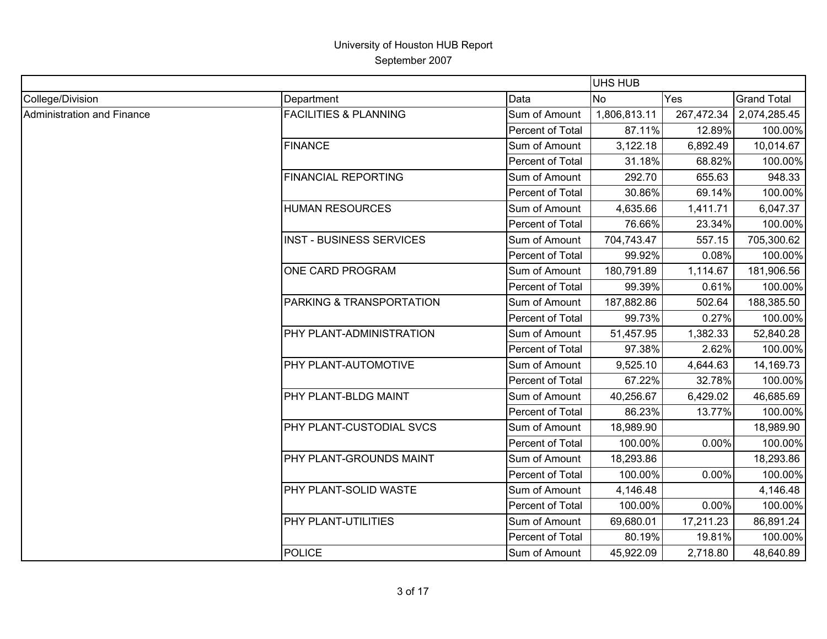|                            |                                  |                  | <b>UHS HUB</b> |            |                    |
|----------------------------|----------------------------------|------------------|----------------|------------|--------------------|
| College/Division           | Department                       | Data             | <b>No</b>      | Yes        | <b>Grand Total</b> |
| Administration and Finance | <b>FACILITIES &amp; PLANNING</b> | Sum of Amount    | 1,806,813.11   | 267,472.34 | 2,074,285.45       |
|                            |                                  | Percent of Total | 87.11%         | 12.89%     | 100.00%            |
|                            | <b>FINANCE</b>                   | Sum of Amount    | 3,122.18       | 6,892.49   | 10,014.67          |
|                            |                                  | Percent of Total | 31.18%         | 68.82%     | 100.00%            |
|                            | <b>FINANCIAL REPORTING</b>       | Sum of Amount    | 292.70         | 655.63     | 948.33             |
|                            |                                  | Percent of Total | 30.86%         | 69.14%     | 100.00%            |
|                            | <b>HUMAN RESOURCES</b>           | Sum of Amount    | 4,635.66       | 1,411.71   | 6,047.37           |
|                            |                                  | Percent of Total | 76.66%         | 23.34%     | 100.00%            |
|                            | <b>INST - BUSINESS SERVICES</b>  | Sum of Amount    | 704,743.47     | 557.15     | 705,300.62         |
|                            |                                  | Percent of Total | 99.92%         | 0.08%      | 100.00%            |
|                            | ONE CARD PROGRAM                 | Sum of Amount    | 180,791.89     | 1,114.67   | 181,906.56         |
|                            |                                  | Percent of Total | 99.39%         | 0.61%      | 100.00%            |
|                            | PARKING & TRANSPORTATION         | Sum of Amount    | 187,882.86     | 502.64     | 188,385.50         |
|                            |                                  | Percent of Total | 99.73%         | 0.27%      | 100.00%            |
|                            | PHY PLANT-ADMINISTRATION         | Sum of Amount    | 51,457.95      | 1,382.33   | 52,840.28          |
|                            |                                  | Percent of Total | 97.38%         | 2.62%      | 100.00%            |
|                            | PHY PLANT-AUTOMOTIVE             | Sum of Amount    | 9,525.10       | 4,644.63   | 14,169.73          |
|                            |                                  | Percent of Total | 67.22%         | 32.78%     | 100.00%            |
|                            | PHY PLANT-BLDG MAINT             | Sum of Amount    | 40,256.67      | 6,429.02   | 46,685.69          |
|                            |                                  | Percent of Total | 86.23%         | 13.77%     | 100.00%            |
|                            | PHY PLANT-CUSTODIAL SVCS         | Sum of Amount    | 18,989.90      |            | 18,989.90          |
|                            |                                  | Percent of Total | 100.00%        | 0.00%      | 100.00%            |
|                            | PHY PLANT-GROUNDS MAINT          | Sum of Amount    | 18,293.86      |            | 18,293.86          |
|                            |                                  | Percent of Total | 100.00%        | 0.00%      | 100.00%            |
|                            | PHY PLANT-SOLID WASTE            | Sum of Amount    | 4,146.48       |            | 4,146.48           |
|                            |                                  | Percent of Total | 100.00%        | 0.00%      | 100.00%            |
|                            | PHY PLANT-UTILITIES              | Sum of Amount    | 69,680.01      | 17,211.23  | 86,891.24          |
|                            |                                  | Percent of Total | 80.19%         | 19.81%     | 100.00%            |
|                            | <b>POLICE</b>                    | Sum of Amount    | 45,922.09      | 2,718.80   | 48,640.89          |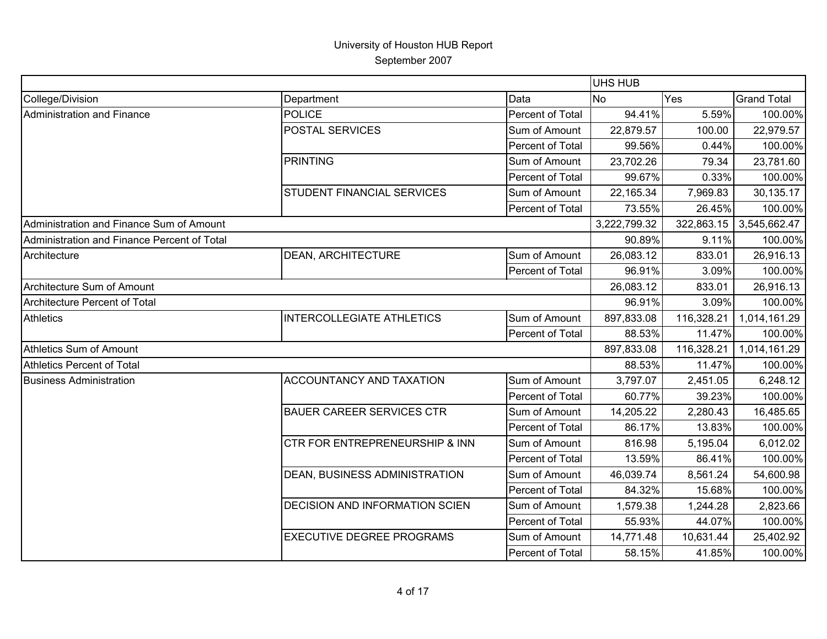|                                             |                                       |                  | <b>UHS HUB</b> |            |                    |
|---------------------------------------------|---------------------------------------|------------------|----------------|------------|--------------------|
| College/Division                            | Department                            | Data             | <b>No</b>      | Yes        | <b>Grand Total</b> |
| Administration and Finance                  | <b>POLICE</b>                         | Percent of Total | 94.41%         | 5.59%      | 100.00%            |
|                                             | POSTAL SERVICES                       | Sum of Amount    | 22,879.57      | 100.00     | 22,979.57          |
|                                             |                                       | Percent of Total | 99.56%         | 0.44%      | 100.00%            |
|                                             | PRINTING                              | Sum of Amount    | 23,702.26      | 79.34      | 23,781.60          |
|                                             |                                       | Percent of Total | 99.67%         | 0.33%      | 100.00%            |
|                                             | STUDENT FINANCIAL SERVICES            | Sum of Amount    | 22,165.34      | 7,969.83   | 30,135.17          |
|                                             |                                       | Percent of Total | 73.55%         | 26.45%     | 100.00%            |
| Administration and Finance Sum of Amount    |                                       |                  | 3,222,799.32   | 322,863.15 | 3,545,662.47       |
| Administration and Finance Percent of Total |                                       |                  | 90.89%         | 9.11%      | 100.00%            |
| Architecture                                | <b>DEAN, ARCHITECTURE</b>             | Sum of Amount    | 26,083.12      | 833.01     | 26,916.13          |
|                                             |                                       | Percent of Total | 96.91%         | 3.09%      | 100.00%            |
| Architecture Sum of Amount                  |                                       |                  | 26,083.12      | 833.01     | 26,916.13          |
| Architecture Percent of Total               |                                       |                  | 96.91%         | 3.09%      | 100.00%            |
| <b>Athletics</b>                            | <b>INTERCOLLEGIATE ATHLETICS</b>      | Sum of Amount    | 897,833.08     | 116,328.21 | 1,014,161.29       |
|                                             |                                       | Percent of Total | 88.53%         | 11.47%     | 100.00%            |
| Athletics Sum of Amount                     |                                       |                  | 897,833.08     | 116,328.21 | 1,014,161.29       |
| <b>Athletics Percent of Total</b>           |                                       |                  | 88.53%         | 11.47%     | 100.00%            |
| <b>Business Administration</b>              | <b>ACCOUNTANCY AND TAXATION</b>       | Sum of Amount    | 3,797.07       | 2,451.05   | 6,248.12           |
|                                             |                                       | Percent of Total | 60.77%         | 39.23%     | 100.00%            |
|                                             | <b>BAUER CAREER SERVICES CTR</b>      | Sum of Amount    | 14,205.22      | 2,280.43   | 16,485.65          |
|                                             |                                       | Percent of Total | 86.17%         | 13.83%     | 100.00%            |
|                                             | CTR FOR ENTREPRENEURSHIP & INN        | Sum of Amount    | 816.98         | 5,195.04   | 6,012.02           |
|                                             |                                       | Percent of Total | 13.59%         | 86.41%     | 100.00%            |
|                                             | DEAN, BUSINESS ADMINISTRATION         | Sum of Amount    | 46,039.74      | 8,561.24   | 54,600.98          |
|                                             |                                       | Percent of Total | 84.32%         | 15.68%     | 100.00%            |
|                                             | <b>DECISION AND INFORMATION SCIEN</b> | Sum of Amount    | 1,579.38       | 1,244.28   | 2,823.66           |
|                                             |                                       | Percent of Total | 55.93%         | 44.07%     | 100.00%            |
|                                             | <b>EXECUTIVE DEGREE PROGRAMS</b>      | Sum of Amount    | 14,771.48      | 10,631.44  | 25,402.92          |
|                                             |                                       | Percent of Total | 58.15%         | 41.85%     | 100.00%            |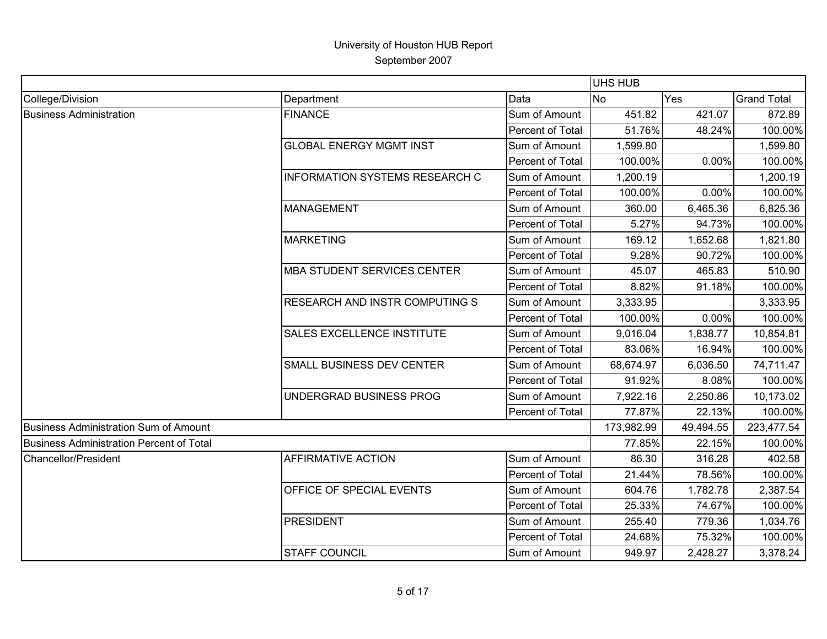|                                              |                                       |                  | UHS HUB    |           |                    |
|----------------------------------------------|---------------------------------------|------------------|------------|-----------|--------------------|
| College/Division                             | Department                            | Data             | <b>No</b>  | Yes       | <b>Grand Total</b> |
| <b>Business Administration</b>               | <b>FINANCE</b>                        | Sum of Amount    | 451.82     | 421.07    | 872.89             |
|                                              |                                       | Percent of Total | 51.76%     | 48.24%    | 100.00%            |
|                                              | <b>GLOBAL ENERGY MGMT INST</b>        | Sum of Amount    | 1,599.80   |           | 1,599.80           |
|                                              |                                       | Percent of Total | 100.00%    | 0.00%     | 100.00%            |
|                                              | <b>INFORMATION SYSTEMS RESEARCH C</b> | Sum of Amount    | 1,200.19   |           | 1,200.19           |
|                                              |                                       | Percent of Total | 100.00%    | 0.00%     | 100.00%            |
|                                              | <b>MANAGEMENT</b>                     | Sum of Amount    | 360.00     | 6,465.36  | 6,825.36           |
|                                              |                                       | Percent of Total | 5.27%      | 94.73%    | 100.00%            |
|                                              | MARKETING                             | Sum of Amount    | 169.12     | 1,652.68  | 1,821.80           |
|                                              |                                       | Percent of Total | 9.28%      | 90.72%    | 100.00%            |
|                                              | <b>MBA STUDENT SERVICES CENTER</b>    | Sum of Amount    | 45.07      | 465.83    | 510.90             |
|                                              |                                       | Percent of Total | 8.82%      | 91.18%    | 100.00%            |
|                                              | <b>RESEARCH AND INSTR COMPUTING S</b> | Sum of Amount    | 3,333.95   |           | 3,333.95           |
|                                              |                                       | Percent of Total | 100.00%    | 0.00%     | 100.00%            |
|                                              | <b>SALES EXCELLENCE INSTITUTE</b>     | Sum of Amount    | 9,016.04   | 1,838.77  | 10,854.81          |
|                                              |                                       | Percent of Total | 83.06%     | 16.94%    | 100.00%            |
|                                              | <b>SMALL BUSINESS DEV CENTER</b>      | Sum of Amount    | 68,674.97  | 6,036.50  | 74,711.47          |
|                                              |                                       | Percent of Total | 91.92%     | 8.08%     | 100.00%            |
|                                              | UNDERGRAD BUSINESS PROG               | Sum of Amount    | 7,922.16   | 2,250.86  | 10,173.02          |
|                                              |                                       | Percent of Total | 77.87%     | 22.13%    | 100.00%            |
| <b>Business Administration Sum of Amount</b> |                                       |                  | 173,982.99 | 49,494.55 | 223,477.54         |
| Business Administration Percent of Total     |                                       |                  | 77.85%     | 22.15%    | 100.00%            |
| <b>Chancellor/President</b>                  | <b>AFFIRMATIVE ACTION</b>             | Sum of Amount    | 86.30      | 316.28    | 402.58             |
|                                              |                                       | Percent of Total | 21.44%     | 78.56%    | 100.00%            |
|                                              | OFFICE OF SPECIAL EVENTS              | Sum of Amount    | 604.76     | 1,782.78  | 2,387.54           |
|                                              |                                       | Percent of Total | 25.33%     | 74.67%    | 100.00%            |
|                                              | <b>PRESIDENT</b>                      | Sum of Amount    | 255.40     | 779.36    | 1,034.76           |
|                                              |                                       | Percent of Total | 24.68%     | 75.32%    | 100.00%            |
|                                              | <b>STAFF COUNCIL</b>                  | Sum of Amount    | 949.97     | 2,428.27  | 3,378.24           |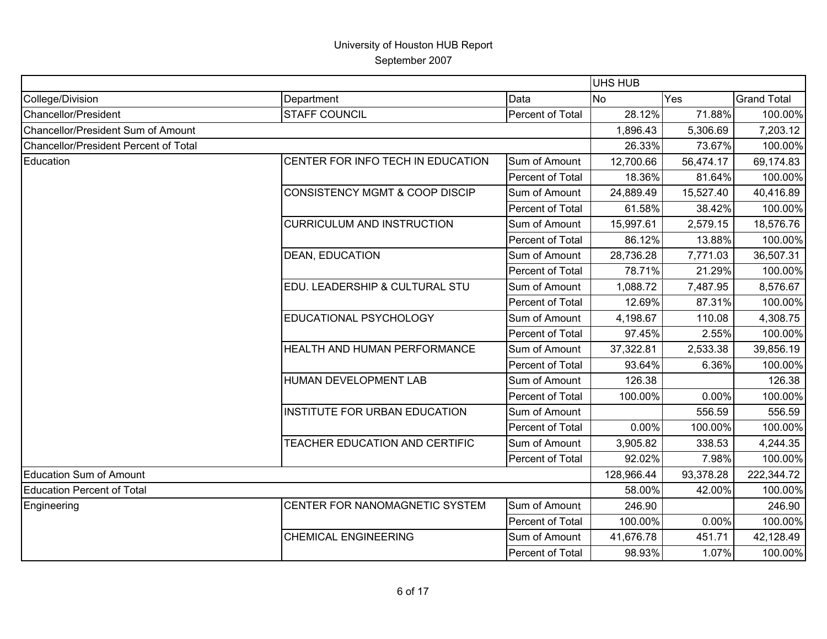|                                              |                                           |                  | <b>UHS HUB</b> |           |                    |
|----------------------------------------------|-------------------------------------------|------------------|----------------|-----------|--------------------|
| College/Division                             | Department                                | Data             | <b>No</b>      | Yes       | <b>Grand Total</b> |
| Chancellor/President                         | <b>STAFF COUNCIL</b>                      | Percent of Total | 28.12%         | 71.88%    | 100.00%            |
| Chancellor/President Sum of Amount           |                                           |                  | 1,896.43       | 5,306.69  | 7,203.12           |
| <b>Chancellor/President Percent of Total</b> |                                           |                  | 26.33%         | 73.67%    | 100.00%            |
| Education                                    | CENTER FOR INFO TECH IN EDUCATION         | Sum of Amount    | 12,700.66      | 56,474.17 | 69,174.83          |
|                                              |                                           | Percent of Total | 18.36%         | 81.64%    | 100.00%            |
|                                              | <b>CONSISTENCY MGMT &amp; COOP DISCIP</b> | Sum of Amount    | 24,889.49      | 15,527.40 | 40,416.89          |
|                                              |                                           | Percent of Total | 61.58%         | 38.42%    | 100.00%            |
|                                              | <b>CURRICULUM AND INSTRUCTION</b>         | Sum of Amount    | 15,997.61      | 2,579.15  | 18,576.76          |
|                                              |                                           | Percent of Total | 86.12%         | 13.88%    | 100.00%            |
|                                              | <b>DEAN, EDUCATION</b>                    | Sum of Amount    | 28,736.28      | 7,771.03  | 36,507.31          |
|                                              |                                           | Percent of Total | 78.71%         | 21.29%    | 100.00%            |
|                                              | EDU. LEADERSHIP & CULTURAL STU            | Sum of Amount    | 1,088.72       | 7,487.95  | 8,576.67           |
|                                              |                                           | Percent of Total | 12.69%         | 87.31%    | 100.00%            |
|                                              | EDUCATIONAL PSYCHOLOGY                    | Sum of Amount    | 4,198.67       | 110.08    | 4,308.75           |
|                                              |                                           | Percent of Total | 97.45%         | 2.55%     | 100.00%            |
|                                              | HEALTH AND HUMAN PERFORMANCE              | Sum of Amount    | 37,322.81      | 2,533.38  | 39,856.19          |
|                                              |                                           | Percent of Total | 93.64%         | 6.36%     | 100.00%            |
|                                              | HUMAN DEVELOPMENT LAB                     | Sum of Amount    | 126.38         |           | 126.38             |
|                                              |                                           | Percent of Total | 100.00%        | 0.00%     | 100.00%            |
|                                              | INSTITUTE FOR URBAN EDUCATION             | Sum of Amount    |                | 556.59    | 556.59             |
|                                              |                                           | Percent of Total | 0.00%          | 100.00%   | 100.00%            |
|                                              | TEACHER EDUCATION AND CERTIFIC            | Sum of Amount    | 3,905.82       | 338.53    | 4,244.35           |
|                                              |                                           | Percent of Total | 92.02%         | 7.98%     | 100.00%            |
| <b>Education Sum of Amount</b>               |                                           |                  | 128,966.44     | 93,378.28 | 222,344.72         |
| <b>Education Percent of Total</b>            |                                           |                  | 58.00%         | 42.00%    | 100.00%            |
| Engineering                                  | CENTER FOR NANOMAGNETIC SYSTEM            | Sum of Amount    | 246.90         |           | 246.90             |
|                                              |                                           | Percent of Total | 100.00%        | 0.00%     | 100.00%            |
|                                              | <b>CHEMICAL ENGINEERING</b>               | Sum of Amount    | 41,676.78      | 451.71    | 42,128.49          |
|                                              |                                           | Percent of Total | 98.93%         | 1.07%     | 100.00%            |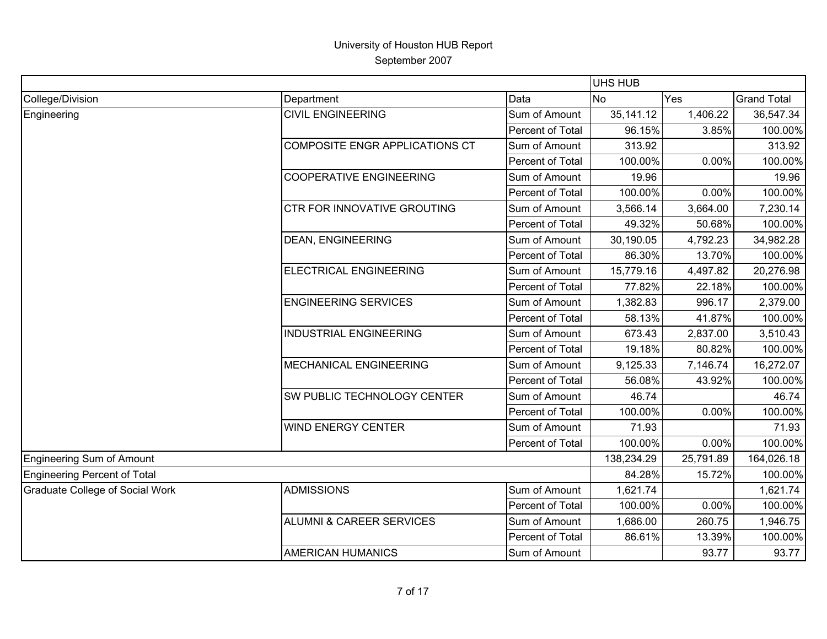|                                        |                                     |                  | <b>UHS HUB</b> |           |                    |
|----------------------------------------|-------------------------------------|------------------|----------------|-----------|--------------------|
| College/Division                       | Department                          | Data             | <b>No</b>      | Yes       | <b>Grand Total</b> |
| Engineering                            | <b>CIVIL ENGINEERING</b>            | Sum of Amount    | 35, 141.12     | 1,406.22  | 36,547.34          |
|                                        |                                     | Percent of Total | 96.15%         | 3.85%     | 100.00%            |
|                                        | COMPOSITE ENGR APPLICATIONS CT      | Sum of Amount    | 313.92         |           | 313.92             |
|                                        |                                     | Percent of Total | 100.00%        | 0.00%     | 100.00%            |
|                                        | <b>COOPERATIVE ENGINEERING</b>      | Sum of Amount    | 19.96          |           | 19.96              |
|                                        |                                     | Percent of Total | 100.00%        | 0.00%     | 100.00%            |
|                                        | CTR FOR INNOVATIVE GROUTING         | Sum of Amount    | 3,566.14       | 3,664.00  | 7,230.14           |
|                                        |                                     | Percent of Total | 49.32%         | 50.68%    | 100.00%            |
|                                        | <b>DEAN, ENGINEERING</b>            | Sum of Amount    | 30,190.05      | 4,792.23  | 34,982.28          |
|                                        |                                     | Percent of Total | 86.30%         | 13.70%    | 100.00%            |
|                                        | ELECTRICAL ENGINEERING              | Sum of Amount    | 15,779.16      | 4,497.82  | 20,276.98          |
|                                        |                                     | Percent of Total | 77.82%         | 22.18%    | 100.00%            |
|                                        | <b>ENGINEERING SERVICES</b>         | Sum of Amount    | 1,382.83       | 996.17    | 2,379.00           |
|                                        |                                     | Percent of Total | 58.13%         | 41.87%    | 100.00%            |
|                                        | <b>INDUSTRIAL ENGINEERING</b>       | Sum of Amount    | 673.43         | 2,837.00  | 3,510.43           |
|                                        |                                     | Percent of Total | 19.18%         | 80.82%    | 100.00%            |
|                                        | <b>MECHANICAL ENGINEERING</b>       | Sum of Amount    | 9,125.33       | 7,146.74  | 16,272.07          |
|                                        |                                     | Percent of Total | 56.08%         | 43.92%    | 100.00%            |
|                                        | SW PUBLIC TECHNOLOGY CENTER         | Sum of Amount    | 46.74          |           | 46.74              |
|                                        |                                     | Percent of Total | 100.00%        | 0.00%     | 100.00%            |
|                                        | <b>WIND ENERGY CENTER</b>           | Sum of Amount    | 71.93          |           | 71.93              |
|                                        |                                     | Percent of Total | 100.00%        | 0.00%     | 100.00%            |
| Engineering Sum of Amount              |                                     |                  | 138,234.29     | 25,791.89 | 164,026.18         |
| Engineering Percent of Total           |                                     |                  | 84.28%         | 15.72%    | 100.00%            |
| <b>Graduate College of Social Work</b> | <b>ADMISSIONS</b>                   | Sum of Amount    | 1,621.74       |           | 1,621.74           |
|                                        |                                     | Percent of Total | 100.00%        | 0.00%     | 100.00%            |
|                                        | <b>ALUMNI &amp; CAREER SERVICES</b> | Sum of Amount    | 1,686.00       | 260.75    | 1,946.75           |
|                                        |                                     | Percent of Total | 86.61%         | 13.39%    | 100.00%            |
|                                        | <b>AMERICAN HUMANICS</b>            | Sum of Amount    |                | 93.77     | 93.77              |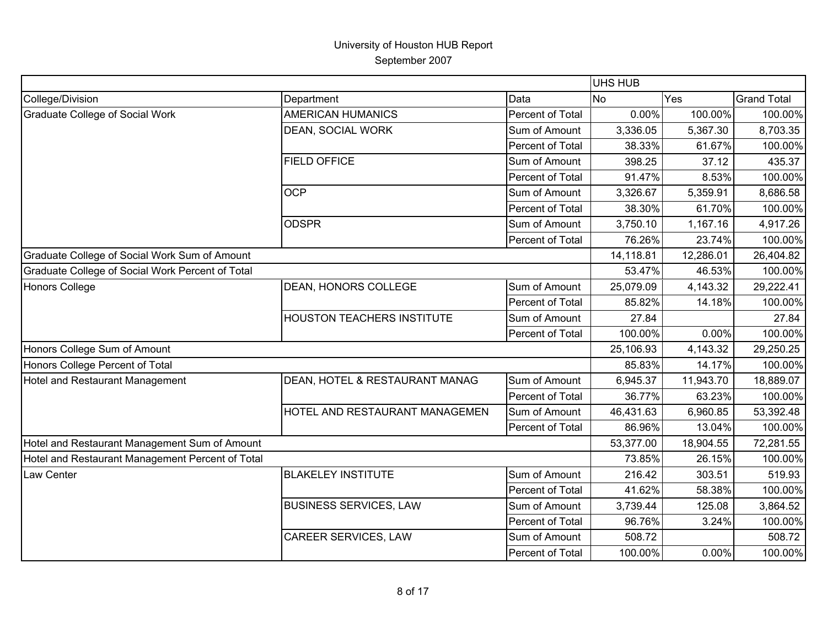|                                                  |                                       |                  | UHS HUB   |           |                    |
|--------------------------------------------------|---------------------------------------|------------------|-----------|-----------|--------------------|
| College/Division                                 | Department                            | Data             | <b>No</b> | Yes       | <b>Grand Total</b> |
| <b>Graduate College of Social Work</b>           | <b>AMERICAN HUMANICS</b>              | Percent of Total | 0.00%     | 100.00%   | 100.00%            |
|                                                  | DEAN, SOCIAL WORK                     | Sum of Amount    | 3,336.05  | 5,367.30  | 8,703.35           |
|                                                  |                                       | Percent of Total | 38.33%    | 61.67%    | 100.00%            |
|                                                  | <b>FIELD OFFICE</b>                   | Sum of Amount    | 398.25    | 37.12     | 435.37             |
|                                                  |                                       | Percent of Total | 91.47%    | 8.53%     | 100.00%            |
|                                                  | <b>OCP</b>                            | Sum of Amount    | 3,326.67  | 5,359.91  | 8,686.58           |
|                                                  |                                       | Percent of Total | 38.30%    | 61.70%    | 100.00%            |
|                                                  | <b>ODSPR</b>                          | Sum of Amount    | 3,750.10  | 1,167.16  | 4,917.26           |
|                                                  |                                       | Percent of Total | 76.26%    | 23.74%    | 100.00%            |
| Graduate College of Social Work Sum of Amount    |                                       |                  | 14,118.81 | 12,286.01 | 26,404.82          |
| Graduate College of Social Work Percent of Total |                                       |                  | 53.47%    | 46.53%    | 100.00%            |
| <b>Honors College</b>                            | <b>DEAN, HONORS COLLEGE</b>           | Sum of Amount    | 25,079.09 | 4,143.32  | 29,222.41          |
|                                                  |                                       | Percent of Total | 85.82%    | 14.18%    | 100.00%            |
|                                                  | HOUSTON TEACHERS INSTITUTE            | Sum of Amount    | 27.84     |           | 27.84              |
|                                                  |                                       | Percent of Total | 100.00%   | 0.00%     | 100.00%            |
| Honors College Sum of Amount                     |                                       |                  | 25,106.93 | 4,143.32  | 29,250.25          |
| Honors College Percent of Total                  |                                       |                  | 85.83%    | 14.17%    | 100.00%            |
| <b>Hotel and Restaurant Management</b>           | DEAN, HOTEL & RESTAURANT MANAG        | Sum of Amount    | 6,945.37  | 11,943.70 | 18,889.07          |
|                                                  |                                       | Percent of Total | 36.77%    | 63.23%    | 100.00%            |
|                                                  | <b>HOTEL AND RESTAURANT MANAGEMEN</b> | Sum of Amount    | 46,431.63 | 6,960.85  | 53,392.48          |
|                                                  |                                       | Percent of Total | 86.96%    | 13.04%    | 100.00%            |
| Hotel and Restaurant Management Sum of Amount    |                                       |                  | 53,377.00 | 18,904.55 | 72,281.55          |
| Hotel and Restaurant Management Percent of Total |                                       |                  | 73.85%    | 26.15%    | 100.00%            |
| Law Center                                       | <b>BLAKELEY INSTITUTE</b>             | Sum of Amount    | 216.42    | 303.51    | 519.93             |
|                                                  |                                       | Percent of Total | 41.62%    | 58.38%    | 100.00%            |
|                                                  | <b>BUSINESS SERVICES, LAW</b>         | Sum of Amount    | 3,739.44  | 125.08    | 3,864.52           |
|                                                  |                                       | Percent of Total | 96.76%    | 3.24%     | 100.00%            |
|                                                  | <b>CAREER SERVICES, LAW</b>           | Sum of Amount    | 508.72    |           | 508.72             |
|                                                  |                                       | Percent of Total | 100.00%   | 0.00%     | 100.00%            |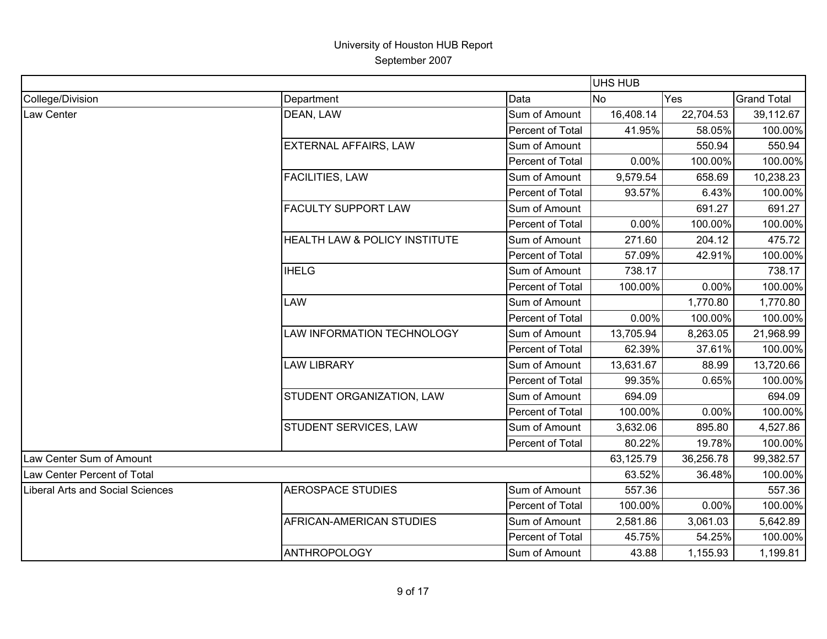|                                  |                               |                  | UHS HUB   |           |                    |
|----------------------------------|-------------------------------|------------------|-----------|-----------|--------------------|
| College/Division                 | Department                    | Data             | No        | Yes       | <b>Grand Total</b> |
| Law Center                       | DEAN, LAW                     | Sum of Amount    | 16,408.14 | 22,704.53 | 39,112.67          |
|                                  |                               | Percent of Total | 41.95%    | 58.05%    | 100.00%            |
|                                  | EXTERNAL AFFAIRS, LAW         | Sum of Amount    |           | 550.94    | 550.94             |
|                                  |                               | Percent of Total | 0.00%     | 100.00%   | 100.00%            |
|                                  | <b>FACILITIES, LAW</b>        | Sum of Amount    | 9,579.54  | 658.69    | 10,238.23          |
|                                  |                               | Percent of Total | 93.57%    | 6.43%     | 100.00%            |
|                                  | <b>FACULTY SUPPORT LAW</b>    | Sum of Amount    |           | 691.27    | 691.27             |
|                                  |                               | Percent of Total | 0.00%     | 100.00%   | 100.00%            |
|                                  | HEALTH LAW & POLICY INSTITUTE | Sum of Amount    | 271.60    | 204.12    | 475.72             |
|                                  |                               | Percent of Total | 57.09%    | 42.91%    | 100.00%            |
|                                  | <b>IHELG</b>                  | Sum of Amount    | 738.17    |           | 738.17             |
|                                  |                               | Percent of Total | 100.00%   | 0.00%     | 100.00%            |
|                                  | <b>LAW</b>                    | Sum of Amount    |           | 1,770.80  | 1,770.80           |
|                                  |                               | Percent of Total | 0.00%     | 100.00%   | 100.00%            |
|                                  | LAW INFORMATION TECHNOLOGY    | Sum of Amount    | 13,705.94 | 8,263.05  | 21,968.99          |
|                                  |                               | Percent of Total | 62.39%    | 37.61%    | 100.00%            |
|                                  | <b>LAW LIBRARY</b>            | Sum of Amount    | 13,631.67 | 88.99     | 13,720.66          |
|                                  |                               | Percent of Total | 99.35%    | 0.65%     | 100.00%            |
|                                  | STUDENT ORGANIZATION, LAW     | Sum of Amount    | 694.09    |           | 694.09             |
|                                  |                               | Percent of Total | 100.00%   | 0.00%     | 100.00%            |
|                                  | STUDENT SERVICES, LAW         | Sum of Amount    | 3,632.06  | 895.80    | 4,527.86           |
|                                  |                               | Percent of Total | 80.22%    | 19.78%    | 100.00%            |
| Law Center Sum of Amount         |                               |                  | 63,125.79 | 36,256.78 | 99,382.57          |
| Law Center Percent of Total      |                               |                  | 63.52%    | 36.48%    | 100.00%            |
| Liberal Arts and Social Sciences | <b>AEROSPACE STUDIES</b>      | Sum of Amount    | 557.36    |           | 557.36             |
|                                  |                               | Percent of Total | 100.00%   | 0.00%     | 100.00%            |
|                                  | AFRICAN-AMERICAN STUDIES      | Sum of Amount    | 2,581.86  | 3,061.03  | 5,642.89           |
|                                  |                               | Percent of Total | 45.75%    | 54.25%    | 100.00%            |
|                                  | <b>ANTHROPOLOGY</b>           | Sum of Amount    | 43.88     | 1,155.93  | 1,199.81           |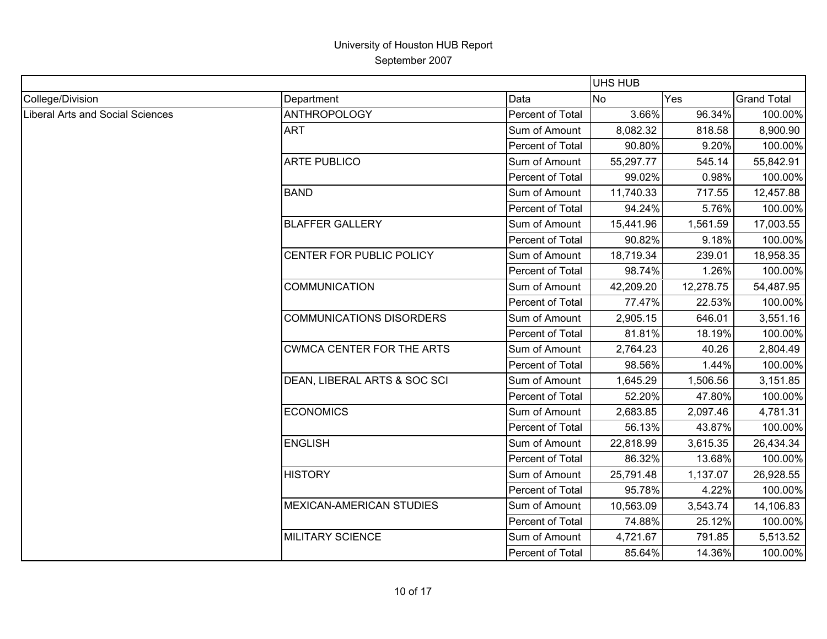|                                  |                                  |                  | <b>UHS HUB</b> |           |                    |
|----------------------------------|----------------------------------|------------------|----------------|-----------|--------------------|
| College/Division                 | Department                       | Data             | <b>No</b>      | Yes       | <b>Grand Total</b> |
| Liberal Arts and Social Sciences | <b>ANTHROPOLOGY</b>              | Percent of Total | 3.66%          | 96.34%    | 100.00%            |
|                                  | <b>ART</b>                       | Sum of Amount    | 8,082.32       | 818.58    | 8,900.90           |
|                                  |                                  | Percent of Total | 90.80%         | 9.20%     | 100.00%            |
|                                  | <b>ARTE PUBLICO</b>              | Sum of Amount    | 55,297.77      | 545.14    | 55,842.91          |
|                                  |                                  | Percent of Total | 99.02%         | 0.98%     | 100.00%            |
|                                  | <b>BAND</b>                      | Sum of Amount    | 11,740.33      | 717.55    | 12,457.88          |
|                                  |                                  | Percent of Total | 94.24%         | 5.76%     | 100.00%            |
|                                  | <b>BLAFFER GALLERY</b>           | Sum of Amount    | 15,441.96      | 1,561.59  | 17,003.55          |
|                                  |                                  | Percent of Total | 90.82%         | 9.18%     | 100.00%            |
|                                  | CENTER FOR PUBLIC POLICY         | Sum of Amount    | 18,719.34      | 239.01    | 18,958.35          |
|                                  |                                  | Percent of Total | 98.74%         | 1.26%     | 100.00%            |
|                                  | <b>COMMUNICATION</b>             | Sum of Amount    | 42,209.20      | 12,278.75 | 54,487.95          |
|                                  |                                  | Percent of Total | 77.47%         | 22.53%    | 100.00%            |
|                                  | <b>COMMUNICATIONS DISORDERS</b>  | Sum of Amount    | 2,905.15       | 646.01    | 3,551.16           |
|                                  |                                  | Percent of Total | 81.81%         | 18.19%    | 100.00%            |
|                                  | <b>CWMCA CENTER FOR THE ARTS</b> | Sum of Amount    | 2,764.23       | 40.26     | 2,804.49           |
|                                  |                                  | Percent of Total | 98.56%         | 1.44%     | 100.00%            |
|                                  | DEAN, LIBERAL ARTS & SOC SCI     | Sum of Amount    | 1,645.29       | 1,506.56  | 3,151.85           |
|                                  |                                  | Percent of Total | 52.20%         | 47.80%    | 100.00%            |
|                                  | <b>ECONOMICS</b>                 | Sum of Amount    | 2,683.85       | 2,097.46  | 4,781.31           |
|                                  |                                  | Percent of Total | 56.13%         | 43.87%    | 100.00%            |
|                                  | <b>ENGLISH</b>                   | Sum of Amount    | 22,818.99      | 3,615.35  | 26,434.34          |
|                                  |                                  | Percent of Total | 86.32%         | 13.68%    | 100.00%            |
|                                  | <b>HISTORY</b>                   | Sum of Amount    | 25,791.48      | 1,137.07  | 26,928.55          |
|                                  |                                  | Percent of Total | 95.78%         | 4.22%     | 100.00%            |
|                                  | <b>MEXICAN-AMERICAN STUDIES</b>  | Sum of Amount    | 10,563.09      | 3,543.74  | 14,106.83          |
|                                  |                                  | Percent of Total | 74.88%         | 25.12%    | 100.00%            |
|                                  | <b>MILITARY SCIENCE</b>          | Sum of Amount    | 4,721.67       | 791.85    | 5,513.52           |
|                                  |                                  | Percent of Total | 85.64%         | 14.36%    | 100.00%            |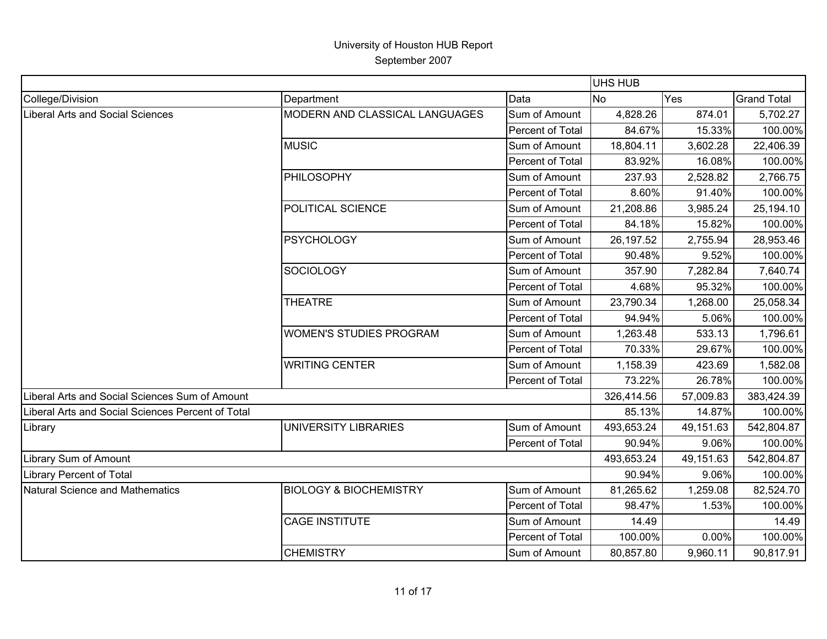|                                                   |                                   |                  | <b>UHS HUB</b> |           |                    |
|---------------------------------------------------|-----------------------------------|------------------|----------------|-----------|--------------------|
| College/Division                                  | Department                        | Data             | <b>No</b>      | Yes       | <b>Grand Total</b> |
| <b>Liberal Arts and Social Sciences</b>           | MODERN AND CLASSICAL LANGUAGES    | Sum of Amount    | 4,828.26       | 874.01    | 5,702.27           |
|                                                   |                                   | Percent of Total | 84.67%         | 15.33%    | 100.00%            |
|                                                   | <b>MUSIC</b>                      | Sum of Amount    | 18,804.11      | 3,602.28  | 22,406.39          |
|                                                   |                                   | Percent of Total | 83.92%         | 16.08%    | 100.00%            |
|                                                   | PHILOSOPHY                        | Sum of Amount    | 237.93         | 2,528.82  | 2,766.75           |
|                                                   |                                   | Percent of Total | 8.60%          | 91.40%    | 100.00%            |
|                                                   | POLITICAL SCIENCE                 | Sum of Amount    | 21,208.86      | 3,985.24  | 25,194.10          |
|                                                   |                                   | Percent of Total | 84.18%         | 15.82%    | 100.00%            |
|                                                   | <b>PSYCHOLOGY</b>                 | Sum of Amount    | 26, 197.52     | 2,755.94  | 28,953.46          |
|                                                   |                                   | Percent of Total | 90.48%         | 9.52%     | 100.00%            |
|                                                   | <b>SOCIOLOGY</b>                  | Sum of Amount    | 357.90         | 7,282.84  | 7,640.74           |
|                                                   |                                   | Percent of Total | 4.68%          | 95.32%    | 100.00%            |
|                                                   | <b>THEATRE</b>                    | Sum of Amount    | 23,790.34      | 1,268.00  | 25,058.34          |
|                                                   |                                   | Percent of Total | 94.94%         | 5.06%     | 100.00%            |
|                                                   | <b>WOMEN'S STUDIES PROGRAM</b>    | Sum of Amount    | 1,263.48       | 533.13    | 1,796.61           |
|                                                   |                                   | Percent of Total | 70.33%         | 29.67%    | 100.00%            |
|                                                   | <b>WRITING CENTER</b>             | Sum of Amount    | 1,158.39       | 423.69    | 1,582.08           |
|                                                   |                                   | Percent of Total | 73.22%         | 26.78%    | 100.00%            |
| Liberal Arts and Social Sciences Sum of Amount    |                                   |                  | 326,414.56     | 57,009.83 | 383,424.39         |
| Liberal Arts and Social Sciences Percent of Total |                                   |                  | 85.13%         | 14.87%    | 100.00%            |
| Library                                           | <b>UNIVERSITY LIBRARIES</b>       | Sum of Amount    | 493,653.24     | 49,151.63 | 542,804.87         |
|                                                   |                                   | Percent of Total | 90.94%         | 9.06%     | 100.00%            |
| Library Sum of Amount                             |                                   |                  | 493,653.24     | 49,151.63 | 542,804.87         |
| <b>Library Percent of Total</b>                   |                                   |                  | 90.94%         | 9.06%     | 100.00%            |
| <b>Natural Science and Mathematics</b>            | <b>BIOLOGY &amp; BIOCHEMISTRY</b> | Sum of Amount    | 81,265.62      | 1,259.08  | 82,524.70          |
|                                                   |                                   | Percent of Total | 98.47%         | 1.53%     | 100.00%            |
|                                                   | <b>CAGE INSTITUTE</b>             | Sum of Amount    | 14.49          |           | 14.49              |
|                                                   |                                   | Percent of Total | 100.00%        | 0.00%     | 100.00%            |
|                                                   | <b>CHEMISTRY</b>                  | Sum of Amount    | 80,857.80      | 9,960.11  | 90,817.91          |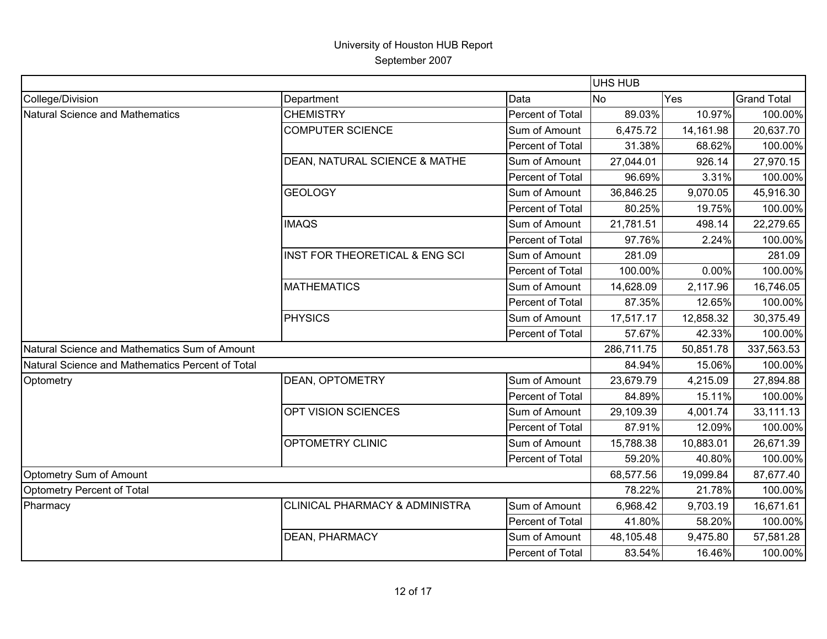|                                                  |                                           |                  | UHS HUB    |           |                    |
|--------------------------------------------------|-------------------------------------------|------------------|------------|-----------|--------------------|
| College/Division                                 | Department                                | Data             | <b>No</b>  | Yes       | <b>Grand Total</b> |
| <b>Natural Science and Mathematics</b>           | <b>CHEMISTRY</b>                          | Percent of Total | 89.03%     | 10.97%    | 100.00%            |
|                                                  | <b>COMPUTER SCIENCE</b>                   | Sum of Amount    | 6,475.72   | 14,161.98 | 20,637.70          |
|                                                  |                                           | Percent of Total | 31.38%     | 68.62%    | 100.00%            |
|                                                  | DEAN, NATURAL SCIENCE & MATHE             | Sum of Amount    | 27,044.01  | 926.14    | 27,970.15          |
|                                                  |                                           | Percent of Total | 96.69%     | 3.31%     | 100.00%            |
|                                                  | <b>GEOLOGY</b>                            | Sum of Amount    | 36,846.25  | 9,070.05  | 45,916.30          |
|                                                  |                                           | Percent of Total | 80.25%     | 19.75%    | 100.00%            |
|                                                  | <b>IMAQS</b>                              | Sum of Amount    | 21,781.51  | 498.14    | 22,279.65          |
|                                                  |                                           | Percent of Total | 97.76%     | 2.24%     | 100.00%            |
|                                                  | INST FOR THEORETICAL & ENG SCI            | Sum of Amount    | 281.09     |           | 281.09             |
|                                                  |                                           | Percent of Total | 100.00%    | 0.00%     | 100.00%            |
|                                                  | <b>MATHEMATICS</b>                        | Sum of Amount    | 14,628.09  | 2,117.96  | 16,746.05          |
|                                                  |                                           | Percent of Total | 87.35%     | 12.65%    | 100.00%            |
|                                                  | <b>PHYSICS</b>                            | Sum of Amount    | 17,517.17  | 12,858.32 | 30,375.49          |
|                                                  |                                           | Percent of Total | 57.67%     | 42.33%    | 100.00%            |
| Natural Science and Mathematics Sum of Amount    |                                           |                  | 286,711.75 | 50,851.78 | 337,563.53         |
| Natural Science and Mathematics Percent of Total |                                           |                  | 84.94%     | 15.06%    | 100.00%            |
| Optometry                                        | DEAN, OPTOMETRY                           | Sum of Amount    | 23,679.79  | 4,215.09  | 27,894.88          |
|                                                  |                                           | Percent of Total | 84.89%     | 15.11%    | 100.00%            |
|                                                  | OPT VISION SCIENCES                       | Sum of Amount    | 29,109.39  | 4,001.74  | 33,111.13          |
|                                                  |                                           | Percent of Total | 87.91%     | 12.09%    | 100.00%            |
|                                                  | OPTOMETRY CLINIC                          | Sum of Amount    | 15,788.38  | 10,883.01 | 26,671.39          |
|                                                  |                                           | Percent of Total | 59.20%     | 40.80%    | 100.00%            |
| Optometry Sum of Amount                          |                                           |                  | 68,577.56  | 19,099.84 | 87,677.40          |
| Optometry Percent of Total                       |                                           |                  | 78.22%     | 21.78%    | 100.00%            |
| Pharmacy                                         | <b>CLINICAL PHARMACY &amp; ADMINISTRA</b> | Sum of Amount    | 6,968.42   | 9,703.19  | 16,671.61          |
|                                                  |                                           | Percent of Total | 41.80%     | 58.20%    | 100.00%            |
|                                                  | DEAN, PHARMACY                            | Sum of Amount    | 48,105.48  | 9,475.80  | 57,581.28          |
|                                                  |                                           | Percent of Total | 83.54%     | 16.46%    | 100.00%            |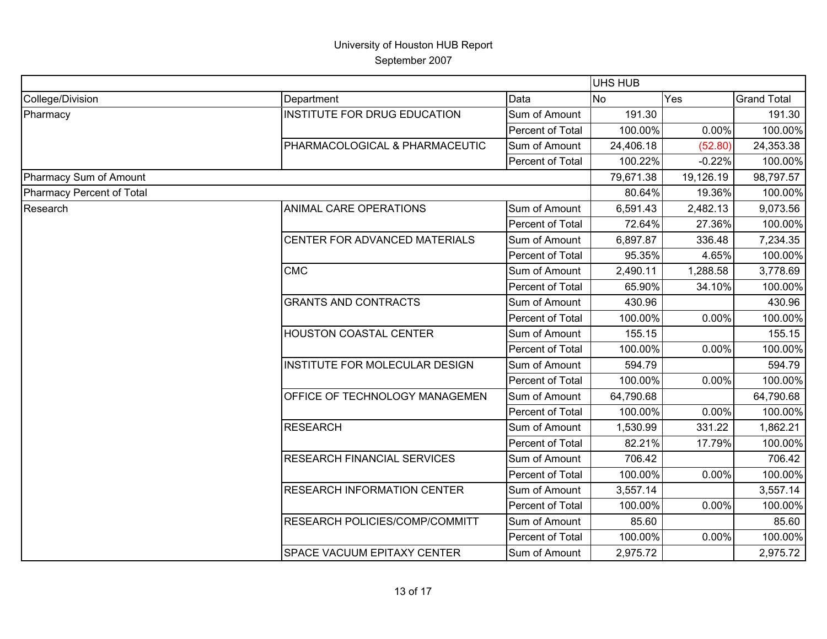|                           |                                     |                  | <b>UHS HUB</b> |           |                    |
|---------------------------|-------------------------------------|------------------|----------------|-----------|--------------------|
| College/Division          | Department                          | Data             | <b>No</b>      | Yes       | <b>Grand Total</b> |
| Pharmacy                  | <b>INSTITUTE FOR DRUG EDUCATION</b> | Sum of Amount    | 191.30         |           | 191.30             |
|                           |                                     | Percent of Total | 100.00%        | 0.00%     | 100.00%            |
|                           | PHARMACOLOGICAL & PHARMACEUTIC      | Sum of Amount    | 24,406.18      | (52.80)   | 24,353.38          |
|                           |                                     | Percent of Total | 100.22%        | $-0.22%$  | 100.00%            |
| Pharmacy Sum of Amount    |                                     |                  | 79,671.38      | 19,126.19 | 98,797.57          |
| Pharmacy Percent of Total |                                     |                  | 80.64%         | 19.36%    | 100.00%            |
| Research                  | <b>ANIMAL CARE OPERATIONS</b>       | Sum of Amount    | 6,591.43       | 2,482.13  | 9,073.56           |
|                           |                                     | Percent of Total | 72.64%         | 27.36%    | 100.00%            |
|                           | CENTER FOR ADVANCED MATERIALS       | Sum of Amount    | 6,897.87       | 336.48    | 7,234.35           |
|                           |                                     | Percent of Total | 95.35%         | 4.65%     | 100.00%            |
|                           | <b>CMC</b>                          | Sum of Amount    | 2,490.11       | 1,288.58  | 3,778.69           |
|                           |                                     | Percent of Total | 65.90%         | 34.10%    | 100.00%            |
|                           | <b>GRANTS AND CONTRACTS</b>         | Sum of Amount    | 430.96         |           | 430.96             |
|                           |                                     | Percent of Total | 100.00%        | 0.00%     | 100.00%            |
|                           | <b>HOUSTON COASTAL CENTER</b>       | Sum of Amount    | 155.15         |           | 155.15             |
|                           |                                     | Percent of Total | 100.00%        | 0.00%     | 100.00%            |
|                           | INSTITUTE FOR MOLECULAR DESIGN      | Sum of Amount    | 594.79         |           | 594.79             |
|                           |                                     | Percent of Total | 100.00%        | 0.00%     | 100.00%            |
|                           | OFFICE OF TECHNOLOGY MANAGEMEN      | Sum of Amount    | 64,790.68      |           | 64,790.68          |
|                           |                                     | Percent of Total | 100.00%        | 0.00%     | 100.00%            |
|                           | <b>RESEARCH</b>                     | Sum of Amount    | 1,530.99       | 331.22    | 1,862.21           |
|                           |                                     | Percent of Total | 82.21%         | 17.79%    | 100.00%            |
|                           | <b>RESEARCH FINANCIAL SERVICES</b>  | Sum of Amount    | 706.42         |           | 706.42             |
|                           |                                     | Percent of Total | 100.00%        | 0.00%     | 100.00%            |
|                           | <b>RESEARCH INFORMATION CENTER</b>  | Sum of Amount    | 3,557.14       |           | 3,557.14           |
|                           |                                     | Percent of Total | 100.00%        | 0.00%     | 100.00%            |
|                           | RESEARCH POLICIES/COMP/COMMITT      | Sum of Amount    | 85.60          |           | 85.60              |
|                           |                                     | Percent of Total | 100.00%        | 0.00%     | 100.00%            |
|                           | <b>SPACE VACUUM EPITAXY CENTER</b>  | Sum of Amount    | 2,975.72       |           | 2,975.72           |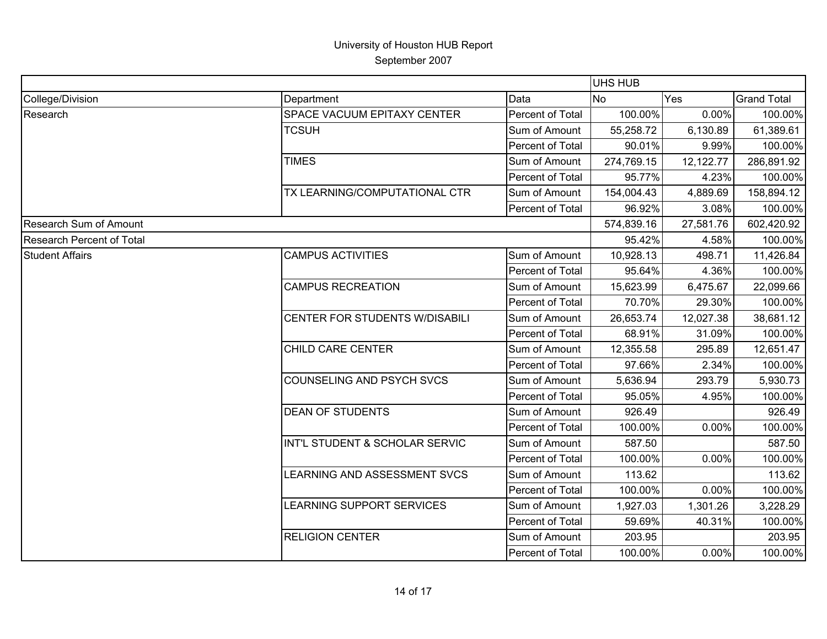|                                  |                                |                  | <b>UHS HUB</b> |           |                    |
|----------------------------------|--------------------------------|------------------|----------------|-----------|--------------------|
| College/Division                 | Department                     | Data             | <b>No</b>      | Yes       | <b>Grand Total</b> |
| Research                         | SPACE VACUUM EPITAXY CENTER    | Percent of Total | 100.00%        | 0.00%     | 100.00%            |
|                                  | <b>TCSUH</b>                   | Sum of Amount    | 55,258.72      | 6,130.89  | 61,389.61          |
|                                  |                                | Percent of Total | 90.01%         | 9.99%     | 100.00%            |
|                                  | <b>TIMES</b>                   | Sum of Amount    | 274,769.15     | 12,122.77 | 286,891.92         |
|                                  |                                | Percent of Total | 95.77%         | 4.23%     | 100.00%            |
|                                  | TX LEARNING/COMPUTATIONAL CTR  | Sum of Amount    | 154,004.43     | 4,889.69  | 158,894.12         |
|                                  |                                | Percent of Total | 96.92%         | 3.08%     | 100.00%            |
| <b>Research Sum of Amount</b>    |                                |                  | 574,839.16     | 27,581.76 | 602,420.92         |
| <b>Research Percent of Total</b> |                                |                  | 95.42%         | 4.58%     | 100.00%            |
| <b>Student Affairs</b>           | <b>CAMPUS ACTIVITIES</b>       | Sum of Amount    | 10,928.13      | 498.71    | 11,426.84          |
|                                  |                                | Percent of Total | 95.64%         | 4.36%     | 100.00%            |
|                                  | <b>CAMPUS RECREATION</b>       | Sum of Amount    | 15,623.99      | 6,475.67  | 22,099.66          |
|                                  |                                | Percent of Total | 70.70%         | 29.30%    | 100.00%            |
|                                  | CENTER FOR STUDENTS W/DISABILI | Sum of Amount    | 26,653.74      | 12,027.38 | 38,681.12          |
|                                  |                                | Percent of Total | 68.91%         | 31.09%    | 100.00%            |
|                                  | CHILD CARE CENTER              | Sum of Amount    | 12,355.58      | 295.89    | 12,651.47          |
|                                  |                                | Percent of Total | 97.66%         | 2.34%     | 100.00%            |
|                                  | COUNSELING AND PSYCH SVCS      | Sum of Amount    | 5,636.94       | 293.79    | 5,930.73           |
|                                  |                                | Percent of Total | 95.05%         | 4.95%     | 100.00%            |
|                                  | <b>DEAN OF STUDENTS</b>        | Sum of Amount    | 926.49         |           | 926.49             |
|                                  |                                | Percent of Total | 100.00%        | 0.00%     | 100.00%            |
|                                  | INT'L STUDENT & SCHOLAR SERVIC | Sum of Amount    | 587.50         |           | 587.50             |
|                                  |                                | Percent of Total | 100.00%        | 0.00%     | 100.00%            |
|                                  | LEARNING AND ASSESSMENT SVCS   | Sum of Amount    | 113.62         |           | 113.62             |
|                                  |                                | Percent of Total | 100.00%        | 0.00%     | 100.00%            |
|                                  | LEARNING SUPPORT SERVICES      | Sum of Amount    | 1,927.03       | 1,301.26  | 3,228.29           |
|                                  |                                | Percent of Total | 59.69%         | 40.31%    | 100.00%            |
|                                  | <b>RELIGION CENTER</b>         | Sum of Amount    | 203.95         |           | 203.95             |
|                                  |                                | Percent of Total | 100.00%        | 0.00%     | 100.00%            |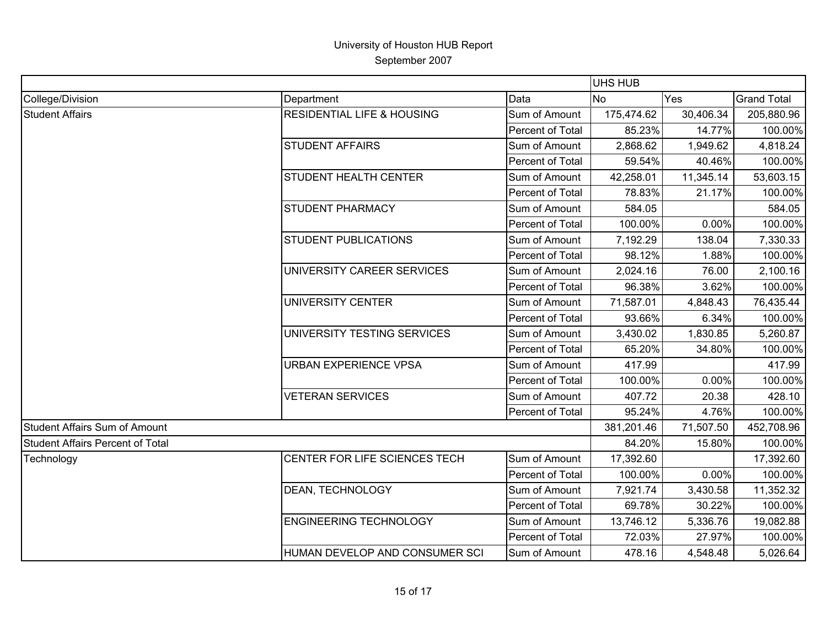|                                         |                                       |                  | <b>UHS HUB</b> |           |                    |
|-----------------------------------------|---------------------------------------|------------------|----------------|-----------|--------------------|
| College/Division                        | Department                            | Data             | <b>No</b>      | Yes       | <b>Grand Total</b> |
| <b>Student Affairs</b>                  | <b>RESIDENTIAL LIFE &amp; HOUSING</b> | Sum of Amount    | 175,474.62     | 30,406.34 | 205,880.96         |
|                                         |                                       | Percent of Total | 85.23%         | 14.77%    | 100.00%            |
|                                         | <b>STUDENT AFFAIRS</b>                | Sum of Amount    | 2,868.62       | 1,949.62  | 4,818.24           |
|                                         |                                       | Percent of Total | 59.54%         | 40.46%    | 100.00%            |
|                                         | <b>STUDENT HEALTH CENTER</b>          | Sum of Amount    | 42,258.01      | 11,345.14 | 53,603.15          |
|                                         |                                       | Percent of Total | 78.83%         | 21.17%    | 100.00%            |
|                                         | <b>STUDENT PHARMACY</b>               | Sum of Amount    | 584.05         |           | 584.05             |
|                                         |                                       | Percent of Total | 100.00%        | 0.00%     | 100.00%            |
|                                         | <b>STUDENT PUBLICATIONS</b>           | Sum of Amount    | 7,192.29       | 138.04    | 7,330.33           |
|                                         |                                       | Percent of Total | 98.12%         | 1.88%     | 100.00%            |
|                                         | UNIVERSITY CAREER SERVICES            | Sum of Amount    | 2,024.16       | 76.00     | 2,100.16           |
|                                         |                                       | Percent of Total | 96.38%         | 3.62%     | 100.00%            |
|                                         | <b>UNIVERSITY CENTER</b>              | Sum of Amount    | 71,587.01      | 4,848.43  | 76,435.44          |
|                                         |                                       | Percent of Total | 93.66%         | 6.34%     | 100.00%            |
|                                         | UNIVERSITY TESTING SERVICES           | Sum of Amount    | 3,430.02       | 1,830.85  | 5,260.87           |
|                                         |                                       | Percent of Total | 65.20%         | 34.80%    | 100.00%            |
|                                         | <b>URBAN EXPERIENCE VPSA</b>          | Sum of Amount    | 417.99         |           | 417.99             |
|                                         |                                       | Percent of Total | 100.00%        | 0.00%     | 100.00%            |
|                                         | <b>VETERAN SERVICES</b>               | Sum of Amount    | 407.72         | 20.38     | 428.10             |
|                                         |                                       | Percent of Total | 95.24%         | 4.76%     | 100.00%            |
| <b>Student Affairs Sum of Amount</b>    |                                       |                  | 381,201.46     | 71,507.50 | 452,708.96         |
| <b>Student Affairs Percent of Total</b> |                                       |                  | 84.20%         | 15.80%    | 100.00%            |
| Technology                              | CENTER FOR LIFE SCIENCES TECH         | Sum of Amount    | 17,392.60      |           | 17,392.60          |
|                                         |                                       | Percent of Total | 100.00%        | 0.00%     | 100.00%            |
|                                         | DEAN, TECHNOLOGY                      | Sum of Amount    | 7,921.74       | 3,430.58  | 11,352.32          |
|                                         |                                       | Percent of Total | 69.78%         | 30.22%    | 100.00%            |
|                                         | <b>ENGINEERING TECHNOLOGY</b>         | Sum of Amount    | 13,746.12      | 5,336.76  | 19,082.88          |
|                                         |                                       | Percent of Total | 72.03%         | 27.97%    | 100.00%            |
|                                         | HUMAN DEVELOP AND CONSUMER SCI        | Sum of Amount    | 478.16         | 4,548.48  | 5,026.64           |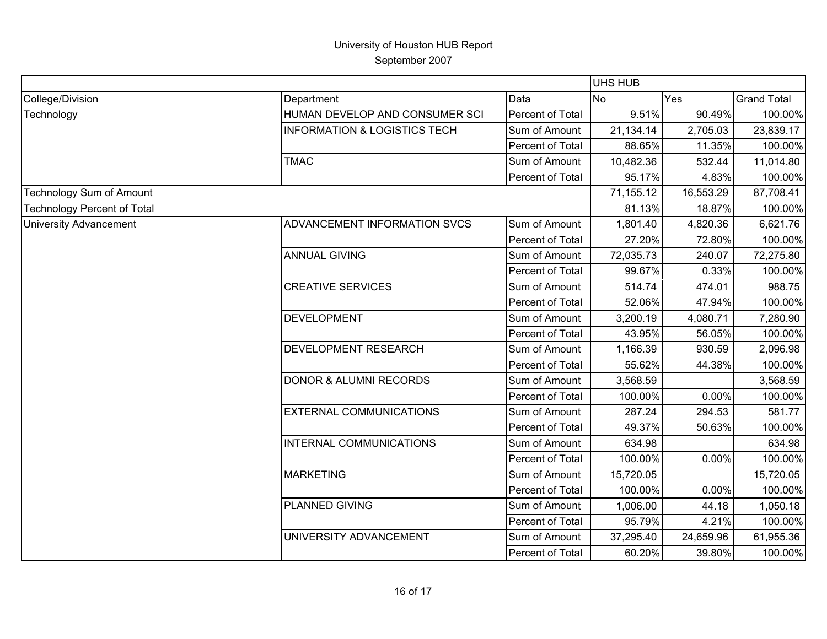|                                    |                                         |                  | UHS HUB   |           |                    |
|------------------------------------|-----------------------------------------|------------------|-----------|-----------|--------------------|
| College/Division                   | Department                              | Data             | <b>No</b> | Yes       | <b>Grand Total</b> |
| Technology                         | HUMAN DEVELOP AND CONSUMER SCI          | Percent of Total | 9.51%     | 90.49%    | 100.00%            |
|                                    | <b>INFORMATION &amp; LOGISTICS TECH</b> | Sum of Amount    | 21,134.14 | 2,705.03  | 23,839.17          |
|                                    |                                         | Percent of Total | 88.65%    | 11.35%    | 100.00%            |
|                                    | <b>TMAC</b>                             | Sum of Amount    | 10,482.36 | 532.44    | 11,014.80          |
|                                    |                                         | Percent of Total | 95.17%    | 4.83%     | 100.00%            |
| <b>Technology Sum of Amount</b>    |                                         |                  | 71,155.12 | 16,553.29 | 87,708.41          |
| <b>Technology Percent of Total</b> |                                         |                  | 81.13%    | 18.87%    | 100.00%            |
| <b>University Advancement</b>      | ADVANCEMENT INFORMATION SVCS            | Sum of Amount    | 1,801.40  | 4,820.36  | 6,621.76           |
|                                    |                                         | Percent of Total | 27.20%    | 72.80%    | 100.00%            |
|                                    | <b>ANNUAL GIVING</b>                    | Sum of Amount    | 72,035.73 | 240.07    | 72,275.80          |
|                                    |                                         | Percent of Total | 99.67%    | 0.33%     | 100.00%            |
|                                    | <b>CREATIVE SERVICES</b>                | Sum of Amount    | 514.74    | 474.01    | 988.75             |
|                                    |                                         | Percent of Total | 52.06%    | 47.94%    | 100.00%            |
|                                    | <b>DEVELOPMENT</b>                      | Sum of Amount    | 3,200.19  | 4,080.71  | 7,280.90           |
|                                    |                                         | Percent of Total | 43.95%    | 56.05%    | 100.00%            |
|                                    | <b>DEVELOPMENT RESEARCH</b>             | Sum of Amount    | 1,166.39  | 930.59    | 2,096.98           |
|                                    |                                         | Percent of Total | 55.62%    | 44.38%    | 100.00%            |
|                                    | <b>DONOR &amp; ALUMNI RECORDS</b>       | Sum of Amount    | 3,568.59  |           | 3,568.59           |
|                                    |                                         | Percent of Total | 100.00%   | 0.00%     | 100.00%            |
|                                    | <b>EXTERNAL COMMUNICATIONS</b>          | Sum of Amount    | 287.24    | 294.53    | 581.77             |
|                                    |                                         | Percent of Total | 49.37%    | 50.63%    | 100.00%            |
|                                    | INTERNAL COMMUNICATIONS                 | Sum of Amount    | 634.98    |           | 634.98             |
|                                    |                                         | Percent of Total | 100.00%   | 0.00%     | 100.00%            |
|                                    | <b>MARKETING</b>                        | Sum of Amount    | 15,720.05 |           | 15,720.05          |
|                                    |                                         | Percent of Total | 100.00%   | 0.00%     | 100.00%            |
|                                    | PLANNED GIVING                          | Sum of Amount    | 1,006.00  | 44.18     | 1,050.18           |
|                                    |                                         | Percent of Total | 95.79%    | 4.21%     | 100.00%            |
|                                    | UNIVERSITY ADVANCEMENT                  | Sum of Amount    | 37,295.40 | 24,659.96 | 61,955.36          |
|                                    |                                         | Percent of Total | 60.20%    | 39.80%    | 100.00%            |